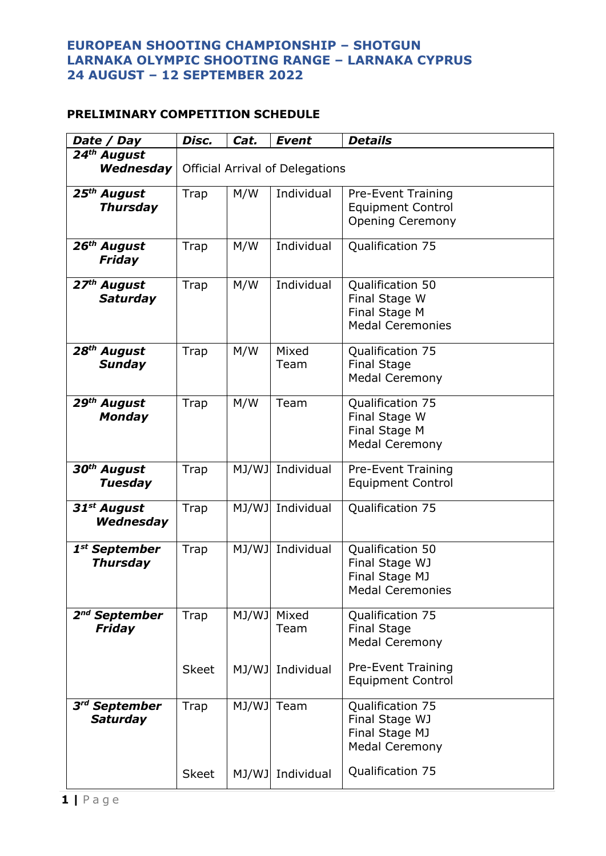## **EUROPEAN SHOOTING CHAMPIONSHIP – SHOTGUN LARNAKA OLYMPIC SHOOTING RANGE – LARNAKA CYPRUS 24 AUGUST – 12 SEPTEMBER 2022**

## **PRELIMINARY COMPETITION SCHEDULE**

| Date / Day                                   | Disc.                                  | Cat.       | <b>Event</b>     | <b>Details</b>                                                                   |  |  |
|----------------------------------------------|----------------------------------------|------------|------------------|----------------------------------------------------------------------------------|--|--|
| 24th August                                  |                                        |            |                  |                                                                                  |  |  |
| Wednesday                                    | <b>Official Arrival of Delegations</b> |            |                  |                                                                                  |  |  |
| 25 <sup>th</sup> August<br><b>Thursday</b>   | <b>Trap</b>                            | M/W        | Individual       | <b>Pre-Event Training</b><br><b>Equipment Control</b><br><b>Opening Ceremony</b> |  |  |
| 26 <sup>th</sup> August<br><b>Friday</b>     | Trap                                   | M/W        | Individual       | Qualification 75                                                                 |  |  |
| 27 <sup>th</sup> August<br><b>Saturday</b>   | Trap                                   | M/W        | Individual       | Qualification 50<br>Final Stage W<br>Final Stage M<br><b>Medal Ceremonies</b>    |  |  |
| 28 <sup>th</sup> August<br><b>Sunday</b>     | Trap                                   | M/W        | Mixed<br>Team    | Qualification 75<br><b>Final Stage</b><br><b>Medal Ceremony</b>                  |  |  |
| 29 <sup>th</sup> August<br><b>Monday</b>     | Trap                                   | M/W        | Team             | Qualification 75<br>Final Stage W<br>Final Stage M<br><b>Medal Ceremony</b>      |  |  |
| 30 <sup>th</sup> August<br><b>Tuesday</b>    | Trap                                   |            | MJ/WJ Individual | <b>Pre-Event Training</b><br><b>Equipment Control</b>                            |  |  |
| 31 <sup>st</sup> August<br>Wednesday         | Trap                                   | MJ/WJ      | Individual       | Qualification 75                                                                 |  |  |
| 1 <sup>st</sup> September<br><b>Thursday</b> | Trap                                   | MJ/WJ      | Individual       | Qualification 50<br>Final Stage WJ<br>Final Stage MJ<br><b>Medal Ceremonies</b>  |  |  |
| 2 <sup>nd</sup> September<br>Friday          | Trap                                   | MJ/WJ      | Mixed<br>Team    | Qualification 75<br><b>Final Stage</b><br><b>Medal Ceremony</b>                  |  |  |
|                                              | <b>Skeet</b>                           | MJ/WJ      | Individual       | <b>Pre-Event Training</b><br><b>Equipment Control</b>                            |  |  |
| 3 <sup>rd</sup> September<br><b>Saturday</b> | Trap                                   | MJ/WJ Team |                  | Qualification 75<br>Final Stage WJ<br>Final Stage MJ<br><b>Medal Ceremony</b>    |  |  |
|                                              | <b>Skeet</b>                           | MJ/WJ      | Individual       | Qualification 75                                                                 |  |  |